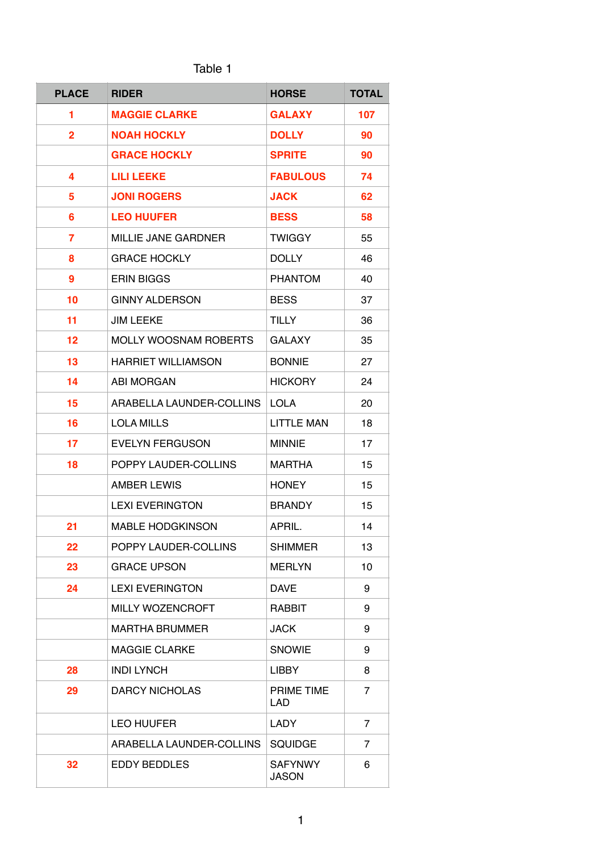| abie |  |
|------|--|
|------|--|

| <b>PLACE</b>   | <b>RIDER</b>               | <b>HORSE</b>                   | <b>TOTAL</b>   |
|----------------|----------------------------|--------------------------------|----------------|
| 1              | <b>MAGGIE CLARKE</b>       | <b>GALAXY</b>                  | 107            |
| $\overline{2}$ | <b>NOAH HOCKLY</b>         | <b>DOLLY</b>                   | 90             |
|                | <b>GRACE HOCKLY</b>        | <b>SPRITE</b>                  | 90             |
| 4              | <b>LILI LEEKE</b>          | <b>FABULOUS</b>                | 74             |
| 5              | <b>JONI ROGERS</b>         | <b>JACK</b>                    | 62             |
| 6              | <b>LEO HUUFER</b>          | <b>BESS</b>                    | 58             |
| 7              | <b>MILLIE JANE GARDNER</b> | <b>TWIGGY</b>                  | 55             |
| 8              | <b>GRACE HOCKLY</b>        | <b>DOLLY</b>                   | 46             |
| 9              | <b>ERIN BIGGS</b>          | <b>PHANTOM</b>                 | 40             |
| 10             | <b>GINNY ALDERSON</b>      | <b>BESS</b>                    | 37             |
| 11             | JIM LEEKE                  | <b>TILLY</b>                   | 36             |
| 12             | MOLLY WOOSNAM ROBERTS      | <b>GALAXY</b>                  | 35             |
| 13             | <b>HARRIET WILLIAMSON</b>  | <b>BONNIE</b>                  | 27             |
| 14             | <b>ABI MORGAN</b>          | <b>HICKORY</b>                 | 24             |
| 15             | ARABELLA LAUNDER-COLLINS   | <b>LOLA</b>                    | 20             |
| 16             | <b>LOLA MILLS</b>          | <b>LITTLE MAN</b>              | 18             |
| 17             | <b>EVELYN FERGUSON</b>     | <b>MINNIE</b>                  | 17             |
| 18             | POPPY LAUDER-COLLINS       | <b>MARTHA</b>                  | 15             |
|                | <b>AMBER LEWIS</b>         | <b>HONEY</b>                   | 15             |
|                | <b>LEXI EVERINGTON</b>     | <b>BRANDY</b>                  | 15             |
| 21             | <b>MABLE HODGKINSON</b>    | APRIL.                         | 14             |
| 22             | POPPY LAUDER-COLLINS       | <b>SHIMMER</b>                 | 13             |
| 23             | <b>GRACE UPSON</b>         | <b>MERLYN</b>                  | 10             |
| 24             | <b>LEXI EVERINGTON</b>     | <b>DAVE</b>                    | 9              |
|                | <b>MILLY WOZENCROFT</b>    | RABBIT                         | 9              |
|                | <b>MARTHA BRUMMER</b>      | <b>JACK</b>                    | 9              |
|                | <b>MAGGIE CLARKE</b>       | <b>SNOWIE</b>                  | 9              |
| 28             | <b>INDI LYNCH</b>          | <b>LIBBY</b>                   | 8              |
| 29             | <b>DARCY NICHOLAS</b>      | PRIME TIME<br>LAD              | $\overline{7}$ |
|                | <b>LEO HUUFER</b>          | LADY                           | 7              |
|                | ARABELLA LAUNDER-COLLINS   | <b>SQUIDGE</b>                 | $\overline{7}$ |
| 32             | <b>EDDY BEDDLES</b>        | <b>SAFYNWY</b><br><b>JASON</b> | 6              |